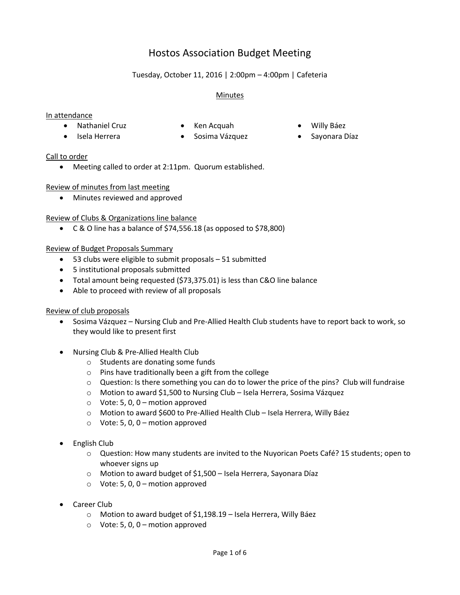# Hostos Association Budget Meeting

## Tuesday, October 11, 2016 | 2:00pm – 4:00pm | Cafeteria

### Minutes

#### In attendance

- Nathaniel Cruz Ken Acquah Willy Báez
	-
- Isela Herrera Sosima Vázquez Sayonara Díaz
- -

#### Call to order

Meeting called to order at 2:11pm. Quorum established.

#### Review of minutes from last meeting

Minutes reviewed and approved

#### Review of Clubs & Organizations line balance

C & O line has a balance of \$74,556.18 (as opposed to \$78,800)

#### Review of Budget Proposals Summary

- 53 clubs were eligible to submit proposals 51 submitted
- 5 institutional proposals submitted
- Total amount being requested (\$73,375.01) is less than C&O line balance
- Able to proceed with review of all proposals

#### Review of club proposals

- Sosima Vázquez Nursing Club and Pre-Allied Health Club students have to report back to work, so they would like to present first
- Nursing Club & Pre-Allied Health Club
	- o Students are donating some funds
	- o Pins have traditionally been a gift from the college
	- $\circ$  Question: Is there something you can do to lower the price of the pins? Club will fundraise
	- o Motion to award \$1,500 to Nursing Club Isela Herrera, Sosima Vázquez
	- $\circ$  Vote: 5, 0, 0 motion approved
	- o Motion to award \$600 to Pre-Allied Health Club Isela Herrera, Willy Báez
	- $\circ$  Vote: 5, 0, 0 motion approved
- English Club
	- o Question: How many students are invited to the Nuyorican Poets Café? 15 students; open to whoever signs up
	- o Motion to award budget of \$1,500 Isela Herrera, Sayonara Díaz
	- $\circ$  Vote: 5, 0, 0 motion approved
- Career Club
	- o Motion to award budget of \$1,198.19 Isela Herrera, Willy Báez
	- $\circ$  Vote: 5, 0, 0 motion approved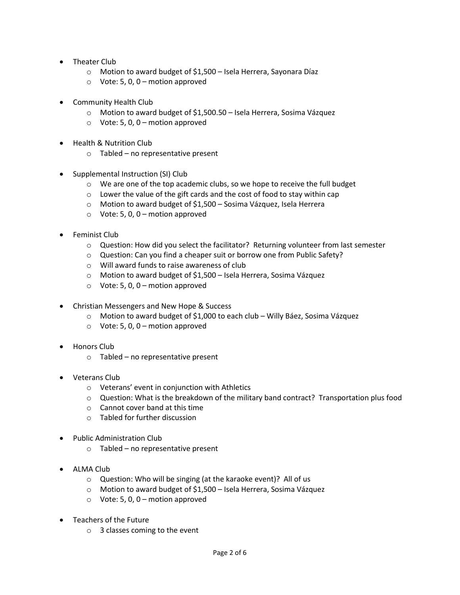- Theater Club
	- o Motion to award budget of \$1,500 Isela Herrera, Sayonara Díaz
	- $\circ$  Vote: 5, 0, 0 motion approved
- Community Health Club
	- o Motion to award budget of \$1,500.50 Isela Herrera, Sosima Vázquez
	- $\circ$  Vote: 5, 0, 0 motion approved
- Health & Nutrition Club
	- o Tabled no representative present
- Supplemental Instruction (SI) Club
	- o We are one of the top academic clubs, so we hope to receive the full budget
	- o Lower the value of the gift cards and the cost of food to stay within cap
	- o Motion to award budget of \$1,500 Sosima Vázquez, Isela Herrera
	- $\circ$  Vote: 5, 0, 0 motion approved
- Feminist Club
	- o Question: How did you select the facilitator? Returning volunteer from last semester
	- o Question: Can you find a cheaper suit or borrow one from Public Safety?
	- o Will award funds to raise awareness of club
	- o Motion to award budget of \$1,500 Isela Herrera, Sosima Vázquez
	- $\circ$  Vote: 5, 0, 0 motion approved
- Christian Messengers and New Hope & Success
	- o Motion to award budget of \$1,000 to each club Willy Báez, Sosima Vázquez
	- $\circ$  Vote: 5, 0, 0 motion approved
- Honors Club
	- o Tabled no representative present
- Veterans Club
	- o Veterans' event in conjunction with Athletics
	- o Question: What is the breakdown of the military band contract? Transportation plus food
	- o Cannot cover band at this time
	- o Tabled for further discussion
- Public Administration Club
	- $\circ$  Tabled no representative present
- ALMA Club
	- o Question: Who will be singing (at the karaoke event)? All of us
	- o Motion to award budget of \$1,500 Isela Herrera, Sosima Vázquez
	- $\circ$  Vote: 5, 0, 0 motion approved
- Teachers of the Future
	- o 3 classes coming to the event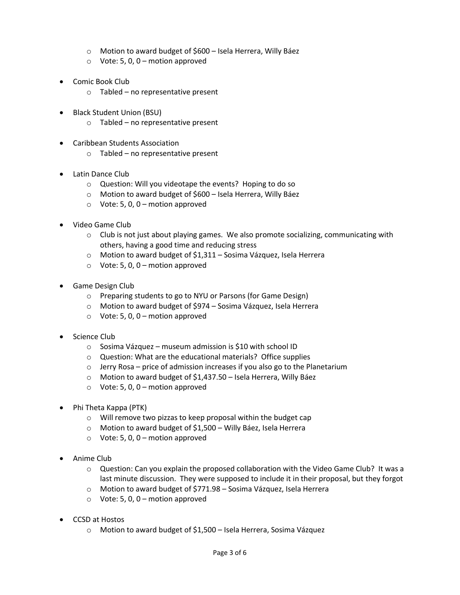- o Motion to award budget of \$600 Isela Herrera, Willy Báez
- $\circ$  Vote: 5, 0, 0 motion approved
- Comic Book Club
	- $\circ$  Tabled no representative present
- Black Student Union (BSU)
	- o Tabled no representative present
- Caribbean Students Association
	- o Tabled no representative present
- Latin Dance Club
	- o Question: Will you videotape the events? Hoping to do so
	- o Motion to award budget of \$600 Isela Herrera, Willy Báez
	- $\circ$  Vote: 5, 0, 0 motion approved
- Video Game Club
	- $\circ$  Club is not just about playing games. We also promote socializing, communicating with others, having a good time and reducing stress
	- o Motion to award budget of \$1,311 Sosima Vázquez, Isela Herrera
	- $\circ$  Vote: 5, 0, 0 motion approved
- Game Design Club
	- o Preparing students to go to NYU or Parsons (for Game Design)
	- o Motion to award budget of \$974 Sosima Vázquez, Isela Herrera
	- $\circ$  Vote: 5, 0, 0 motion approved
- Science Club
	- o Sosima Vázquez museum admission is \$10 with school ID
	- o Question: What are the educational materials? Office supplies
	- o Jerry Rosa price of admission increases if you also go to the Planetarium
	- o Motion to award budget of \$1,437.50 Isela Herrera, Willy Báez
	- $\circ$  Vote: 5, 0, 0 motion approved
- Phi Theta Kappa (PTK)
	- o Will remove two pizzas to keep proposal within the budget cap
	- o Motion to award budget of \$1,500 Willy Báez, Isela Herrera
	- $\circ$  Vote: 5, 0, 0 motion approved
- Anime Club
	- o Question: Can you explain the proposed collaboration with the Video Game Club? It was a last minute discussion. They were supposed to include it in their proposal, but they forgot
	- o Motion to award budget of \$771.98 Sosima Vázquez, Isela Herrera
	- $\circ$  Vote: 5, 0, 0 motion approved
- CCSD at Hostos
	- o Motion to award budget of \$1,500 Isela Herrera, Sosima Vázquez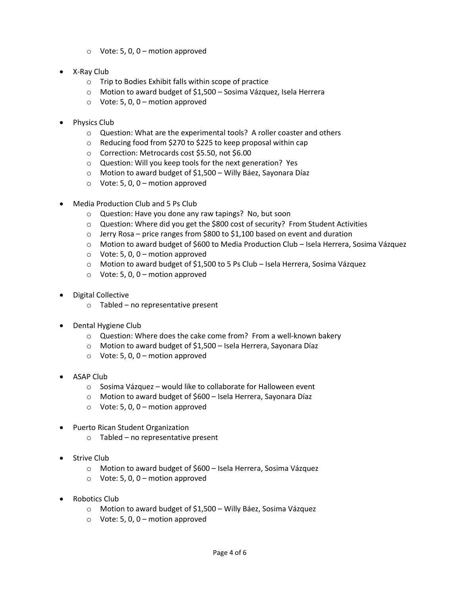- $\circ$  Vote: 5, 0, 0 motion approved
- X-Ray Club
	- o Trip to Bodies Exhibit falls within scope of practice
	- o Motion to award budget of \$1,500 Sosima Vázquez, Isela Herrera
	- $\circ$  Vote: 5, 0, 0 motion approved
- Physics Club
	- o Question: What are the experimental tools? A roller coaster and others
	- o Reducing food from \$270 to \$225 to keep proposal within cap
	- o Correction: Metrocards cost \$5.50, not \$6.00
	- o Question: Will you keep tools for the next generation? Yes
	- o Motion to award budget of \$1,500 Willy Báez, Sayonara Díaz
	- $\circ$  Vote: 5, 0, 0 motion approved
- Media Production Club and 5 Ps Club
	- o Question: Have you done any raw tapings? No, but soon
	- o Question: Where did you get the \$800 cost of security? From Student Activities
	- $\circ$  Jerry Rosa price ranges from \$800 to \$1,100 based on event and duration
	- o Motion to award budget of \$600 to Media Production Club Isela Herrera, Sosima Vázquez
	- $\circ$  Vote: 5, 0, 0 motion approved
	- o Motion to award budget of \$1,500 to 5 Ps Club Isela Herrera, Sosima Vázquez
	- $\circ$  Vote: 5, 0, 0 motion approved
- Digital Collective
	- $\circ$  Tabled no representative present
- Dental Hygiene Club
	- o Question: Where does the cake come from? From a well-known bakery
	- o Motion to award budget of \$1,500 Isela Herrera, Sayonara Díaz
	- $\circ$  Vote: 5, 0, 0 motion approved
- ASAP Club
	- o Sosima Vázquez would like to collaborate for Halloween event
	- o Motion to award budget of \$600 Isela Herrera, Sayonara Díaz
	- $\circ$  Vote: 5, 0, 0 motion approved
- Puerto Rican Student Organization
	- o Tabled no representative present
- Strive Club
	- o Motion to award budget of \$600 Isela Herrera, Sosima Vázquez
	- $\circ$  Vote: 5, 0, 0 motion approved
- Robotics Club
	- o Motion to award budget of \$1,500 Willy Báez, Sosima Vázquez
	- $\circ$  Vote: 5, 0, 0 motion approved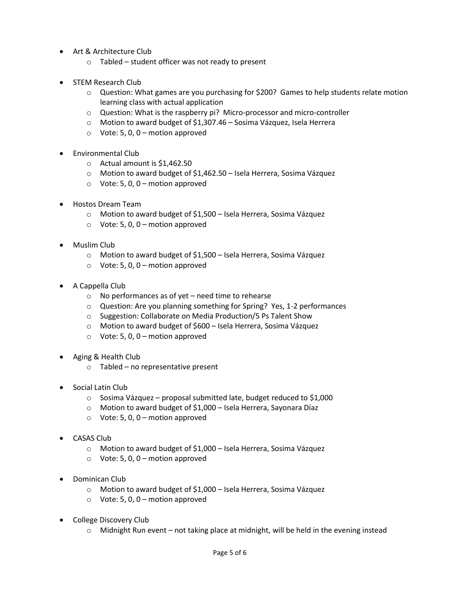- Art & Architecture Club
	- o Tabled student officer was not ready to present
- STEM Research Club
	- o Question: What games are you purchasing for \$200? Games to help students relate motion learning class with actual application
	- $\circ$  Question: What is the raspberry pi? Micro-processor and micro-controller
	- o Motion to award budget of \$1,307.46 Sosima Vázquez, Isela Herrera
	- $\circ$  Vote: 5, 0, 0 motion approved
- Environmental Club
	- o Actual amount is \$1,462.50
	- o Motion to award budget of \$1,462.50 Isela Herrera, Sosima Vázquez
	- $\circ$  Vote: 5, 0, 0 motion approved
- Hostos Dream Team
	- o Motion to award budget of \$1,500 Isela Herrera, Sosima Vázquez
	- $\circ$  Vote: 5, 0, 0 motion approved
- Muslim Club
	- o Motion to award budget of \$1,500 Isela Herrera, Sosima Vázquez
	- $\circ$  Vote: 5, 0, 0 motion approved
- A Cappella Club
	- $\circ$  No performances as of yet need time to rehearse
	- o Question: Are you planning something for Spring? Yes, 1-2 performances
	- o Suggestion: Collaborate on Media Production/5 Ps Talent Show
	- o Motion to award budget of \$600 Isela Herrera, Sosima Vázquez
	- $\circ$  Vote: 5, 0, 0 motion approved
- Aging & Health Club
	- o Tabled no representative present
- Social Latin Club
	- o Sosima Vázquez proposal submitted late, budget reduced to \$1,000
	- o Motion to award budget of \$1,000 Isela Herrera, Sayonara Díaz
	- $\circ$  Vote: 5, 0, 0 motion approved
- CASAS Club
	- o Motion to award budget of \$1,000 Isela Herrera, Sosima Vázquez
	- $\circ$  Vote: 5, 0, 0 motion approved
- Dominican Club
	- o Motion to award budget of \$1,000 Isela Herrera, Sosima Vázquez
	- $\circ$  Vote: 5, 0, 0 motion approved
- College Discovery Club
	- o Midnight Run event not taking place at midnight, will be held in the evening instead